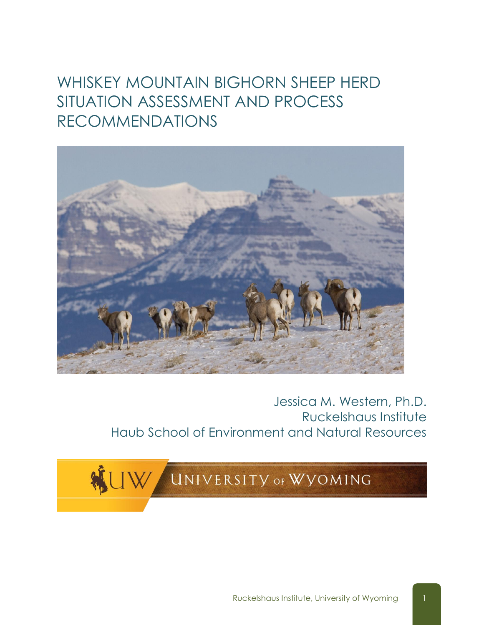# WHISKEY MOUNTAIN BIGHORN SHEEP HERD SITUATION ASSESSMENT AND PROCESS RECOMMENDATIONS



Jessica M. Western, Ph.D. Ruckelshaus Institute Haub School of Environment and Natural Resources

# <span id="page-0-0"></span>**W** UNIVERSITY OF WYOMING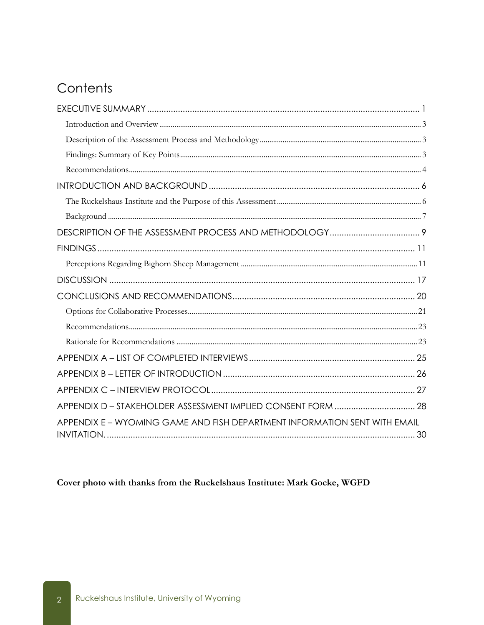# Contents

| APPENDIX E - WYOMING GAME AND FISH DEPARTMENT INFORMATION SENT WITH EMAIL |  |
|---------------------------------------------------------------------------|--|

## Cover photo with thanks from the Ruckelshaus Institute: Mark Gocke, WGFD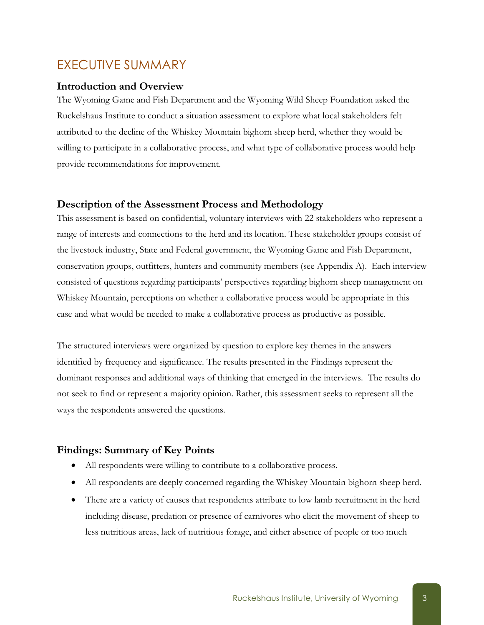## EXECUTIVE SUMMARY

## <span id="page-2-0"></span>**Introduction and Overview**

The Wyoming Game and Fish Department and the Wyoming Wild Sheep Foundation asked the Ruckelshaus Institute to conduct a situation assessment to explore what local stakeholders felt attributed to the decline of the Whiskey Mountain bighorn sheep herd, whether they would be willing to participate in a collaborative process, and what type of collaborative process would help provide recommendations for improvement.

### <span id="page-2-1"></span>**Description of the Assessment Process and Methodology**

This assessment is based on confidential, voluntary interviews with 22 stakeholders who represent a range of interests and connections to the herd and its location. These stakeholder groups consist of the livestock industry, State and Federal government, the Wyoming Game and Fish Department, conservation groups, outfitters, hunters and community members (see Appendix A). Each interview consisted of questions regarding participants' perspectives regarding bighorn sheep management on Whiskey Mountain, perceptions on whether a collaborative process would be appropriate in this case and what would be needed to make a collaborative process as productive as possible.

The structured interviews were organized by question to explore key themes in the answers identified by frequency and significance. The results presented in the Findings represent the dominant responses and additional ways of thinking that emerged in the interviews. The results do not seek to find or represent a majority opinion. Rather, this assessment seeks to represent all the ways the respondents answered the questions.

## <span id="page-2-2"></span>**Findings: Summary of Key Points**

- All respondents were willing to contribute to a collaborative process.
- All respondents are deeply concerned regarding the Whiskey Mountain bighorn sheep herd.
- There are a variety of causes that respondents attribute to low lamb recruitment in the herd including disease, predation or presence of carnivores who elicit the movement of sheep to less nutritious areas, lack of nutritious forage, and either absence of people or too much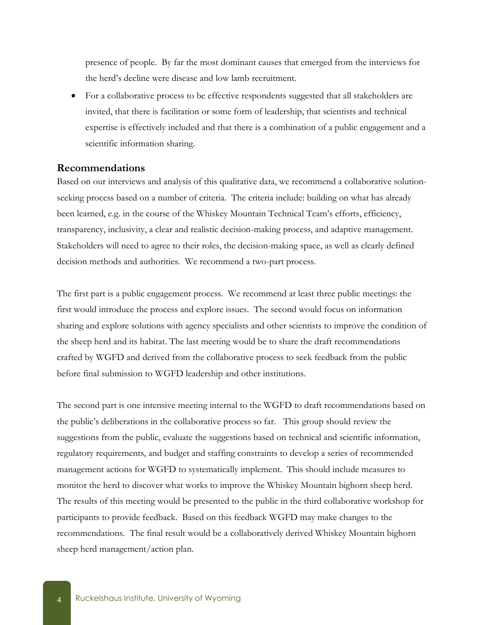presence of people. By far the most dominant causes that emerged from the interviews for the herd's decline were disease and low lamb recruitment.

• For a collaborative process to be effective respondents suggested that all stakeholders are invited, that there is facilitation or some form of leadership, that scientists and technical expertise is effectively included and that there is a combination of a public engagement and a scientific information sharing.

#### <span id="page-3-0"></span>**Recommendations**

Based on our interviews and analysis of this qualitative data, we recommend a collaborative solutionseeking process based on a number of criteria. The criteria include: building on what has already been learned, e.g. in the course of the Whiskey Mountain Technical Team's efforts, efficiency, transparency, inclusivity, a clear and realistic decision-making process, and adaptive management. Stakeholders will need to agree to their roles, the decision-making space, as well as clearly defined decision methods and authorities. We recommend a two-part process.

The first part is a public engagement process. We recommend at least three public meetings: the first would introduce the process and explore issues. The second would focus on information sharing and explore solutions with agency specialists and other scientists to improve the condition of the sheep herd and its habitat. The last meeting would be to share the draft recommendations crafted by WGFD and derived from the collaborative process to seek feedback from the public before final submission to WGFD leadership and other institutions.

The second part is one intensive meeting internal to the WGFD to draft recommendations based on the public's deliberations in the collaborative process so far. This group should review the suggestions from the public, evaluate the suggestions based on technical and scientific information, regulatory requirements, and budget and staffing constraints to develop a series of recommended management actions for WGFD to systematically implement. This should include measures to monitor the herd to discover what works to improve the Whiskey Mountain bighorn sheep herd. The results of this meeting would be presented to the public in the third collaborative workshop for participants to provide feedback. Based on this feedback WGFD may make changes to the recommendations. The final result would be a collaboratively derived Whiskey Mountain bighorn sheep herd management/action plan.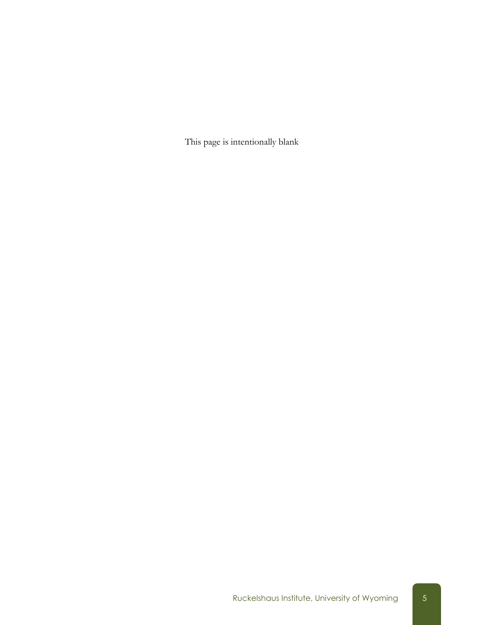This page is intentionally blank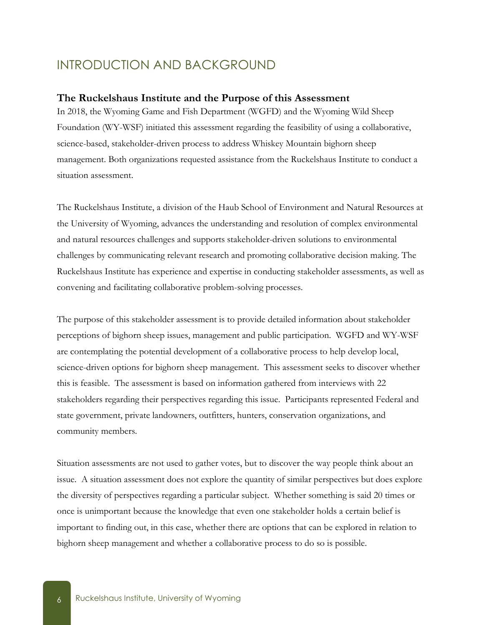## <span id="page-5-0"></span>INTRODUCTION AND BACKGROUND

#### <span id="page-5-1"></span>**The Ruckelshaus Institute and the Purpose of this Assessment**

In 2018, the Wyoming Game and Fish Department (WGFD) and the Wyoming Wild Sheep Foundation (WY-WSF) initiated this assessment regarding the feasibility of using a collaborative, science-based, stakeholder-driven process to address Whiskey Mountain bighorn sheep management. Both organizations requested assistance from the Ruckelshaus Institute to conduct a situation assessment.

The Ruckelshaus Institute, a division of the Haub School of Environment and Natural Resources at the University of Wyoming, advances the understanding and resolution of complex environmental and natural resources challenges and supports stakeholder-driven solutions to environmental challenges by communicating relevant research and promoting collaborative decision making. The Ruckelshaus Institute has experience and expertise in conducting stakeholder assessments, as well as convening and facilitating collaborative problem-solving processes.

The purpose of this stakeholder assessment is to provide detailed information about stakeholder perceptions of bighorn sheep issues, management and public participation. WGFD and WY-WSF are contemplating the potential development of a collaborative process to help develop local, science-driven options for bighorn sheep management. This assessment seeks to discover whether this is feasible. The assessment is based on information gathered from interviews with 22 stakeholders regarding their perspectives regarding this issue. Participants represented Federal and state government, private landowners, outfitters, hunters, conservation organizations, and community members.

Situation assessments are not used to gather votes, but to discover the way people think about an issue. A situation assessment does not explore the quantity of similar perspectives but does explore the diversity of perspectives regarding a particular subject. Whether something is said 20 times or once is unimportant because the knowledge that even one stakeholder holds a certain belief is important to finding out, in this case, whether there are options that can be explored in relation to bighorn sheep management and whether a collaborative process to do so is possible.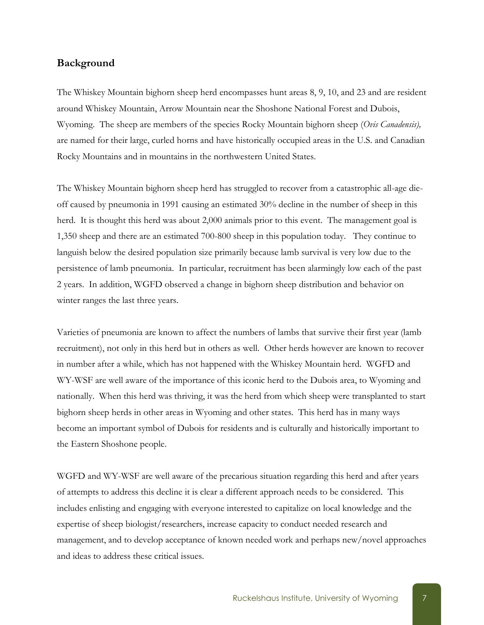### <span id="page-6-0"></span>**Background**

The Whiskey Mountain bighorn sheep herd encompasses hunt areas 8, 9, 10, and 23 and are resident around Whiskey Mountain, Arrow Mountain near the Shoshone National Forest and Dubois, Wyoming. The sheep are members of the species Rocky Mountain bighorn sheep (*Ovis Canadensis),* are named for their large, curled horns and have historically occupied areas in the U.S. and Canadian Rocky Mountains and in mountains in the northwestern United States.

The Whiskey Mountain bighorn sheep herd has struggled to recover from a catastrophic all-age dieoff caused by pneumonia in 1991 causing an estimated 30% decline in the number of sheep in this herd. It is thought this herd was about 2,000 animals prior to this event. The management goal is 1,350 sheep and there are an estimated 700-800 sheep in this population today. They continue to languish below the desired population size primarily because lamb survival is very low due to the persistence of lamb pneumonia. In particular, recruitment has been alarmingly low each of the past 2 years. In addition, WGFD observed a change in bighorn sheep distribution and behavior on winter ranges the last three years.

Varieties of pneumonia are known to affect the numbers of lambs that survive their first year (lamb recruitment), not only in this herd but in others as well. Other herds however are known to recover in number after a while, which has not happened with the Whiskey Mountain herd. WGFD and WY-WSF are well aware of the importance of this iconic herd to the Dubois area, to Wyoming and nationally. When this herd was thriving, it was the herd from which sheep were transplanted to start bighorn sheep herds in other areas in Wyoming and other states. This herd has in many ways become an important symbol of Dubois for residents and is culturally and historically important to the Eastern Shoshone people.

WGFD and WY-WSF are well aware of the precarious situation regarding this herd and after years of attempts to address this decline it is clear a different approach needs to be considered. This includes enlisting and engaging with everyone interested to capitalize on local knowledge and the expertise of sheep biologist/researchers, increase capacity to conduct needed research and management, and to develop acceptance of known needed work and perhaps new/novel approaches and ideas to address these critical issues.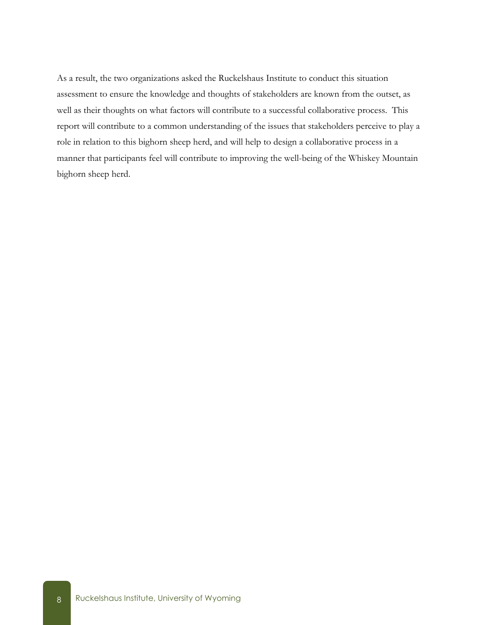As a result, the two organizations asked the Ruckelshaus Institute to conduct this situation assessment to ensure the knowledge and thoughts of stakeholders are known from the outset, as well as their thoughts on what factors will contribute to a successful collaborative process. This report will contribute to a common understanding of the issues that stakeholders perceive to play a role in relation to this bighorn sheep herd, and will help to design a collaborative process in a manner that participants feel will contribute to improving the well-being of the Whiskey Mountain bighorn sheep herd.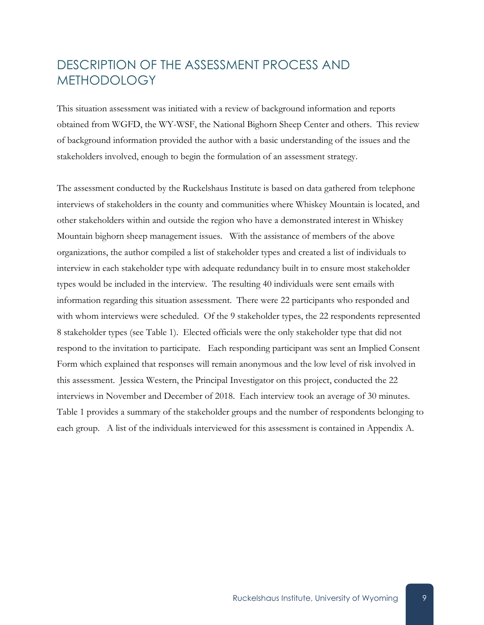## <span id="page-8-0"></span>DESCRIPTION OF THE ASSESSMENT PROCESS AND METHODOLOGY

This situation assessment was initiated with a review of background information and reports obtained from WGFD, the WY-WSF, the National Bighorn Sheep Center and others. This review of background information provided the author with a basic understanding of the issues and the stakeholders involved, enough to begin the formulation of an assessment strategy.

The assessment conducted by the Ruckelshaus Institute is based on data gathered from telephone interviews of stakeholders in the county and communities where Whiskey Mountain is located, and other stakeholders within and outside the region who have a demonstrated interest in Whiskey Mountain bighorn sheep management issues. With the assistance of members of the above organizations, the author compiled a list of stakeholder types and created a list of individuals to interview in each stakeholder type with adequate redundancy built in to ensure most stakeholder types would be included in the interview. The resulting 40 individuals were sent emails with information regarding this situation assessment. There were 22 participants who responded and with whom interviews were scheduled. Of the 9 stakeholder types, the 22 respondents represented 8 stakeholder types (see Table 1). Elected officials were the only stakeholder type that did not respond to the invitation to participate. Each responding participant was sent an Implied Consent Form which explained that responses will remain anonymous and the low level of risk involved in this assessment. Jessica Western, the Principal Investigator on this project, conducted the 22 interviews in November and December of 2018. Each interview took an average of 30 minutes. Table 1 provides a summary of the stakeholder groups and the number of respondents belonging to each group. A list of the individuals interviewed for this assessment is contained in Appendix A.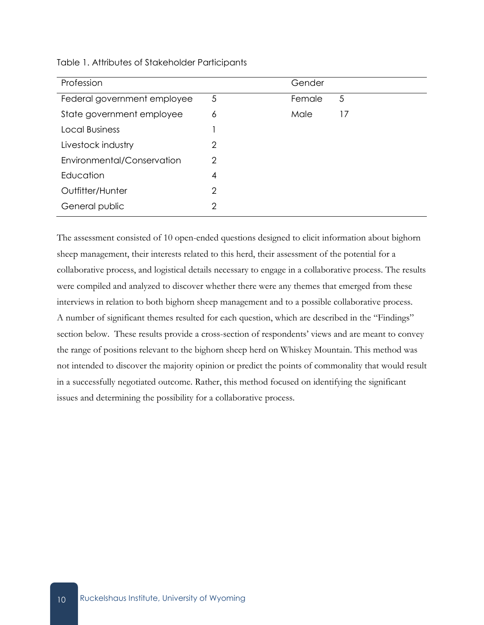| Profession                  |                | Gender |    |
|-----------------------------|----------------|--------|----|
| Federal government employee | 5              | Female | 5  |
| State government employee   | 6              | Male   | 17 |
| <b>Local Business</b>       |                |        |    |
| Livestock industry          | $\overline{2}$ |        |    |
| Environmental/Conservation  | 2              |        |    |
| Education                   | 4              |        |    |
| Outfitter/Hunter            | 2              |        |    |
| General public              | 2              |        |    |

Table 1. Attributes of Stakeholder Participants

<span id="page-9-0"></span>The assessment consisted of 10 open-ended questions designed to elicit information about bighorn sheep management, their interests related to this herd, their assessment of the potential for a collaborative process, and logistical details necessary to engage in a collaborative process. The results were compiled and analyzed to discover whether there were any themes that emerged from these interviews in relation to both bighorn sheep management and to a possible collaborative process. A number of significant themes resulted for each question, which are described in the "Findings" section below. These results provide a cross-section of respondents' views and are meant to convey the range of positions relevant to the bighorn sheep herd on Whiskey Mountain. This method was not intended to discover the majority opinion or predict the points of commonality that would result in a successfully negotiated outcome. Rather, this method focused on identifying the significant issues and determining the possibility for a collaborative process.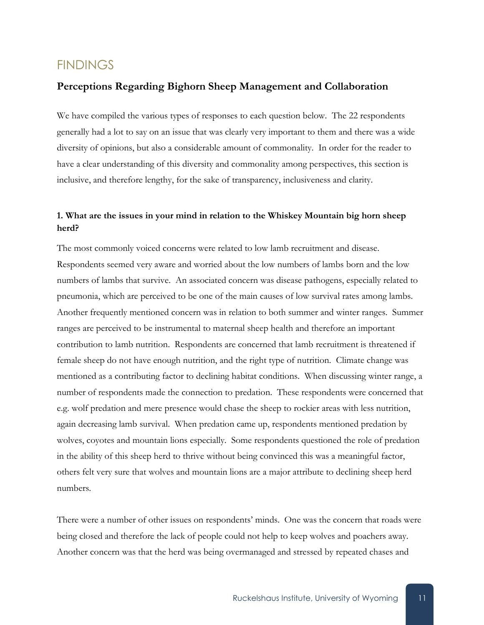## **FINDINGS**

## <span id="page-10-0"></span>**Perceptions Regarding Bighorn Sheep Management and Collaboration**

We have compiled the various types of responses to each question below. The 22 respondents generally had a lot to say on an issue that was clearly very important to them and there was a wide diversity of opinions, but also a considerable amount of commonality. In order for the reader to have a clear understanding of this diversity and commonality among perspectives, this section is inclusive, and therefore lengthy, for the sake of transparency, inclusiveness and clarity.

## **1. What are the issues in your mind in relation to the Whiskey Mountain big horn sheep herd?**

The most commonly voiced concerns were related to low lamb recruitment and disease. Respondents seemed very aware and worried about the low numbers of lambs born and the low numbers of lambs that survive. An associated concern was disease pathogens, especially related to pneumonia, which are perceived to be one of the main causes of low survival rates among lambs. Another frequently mentioned concern was in relation to both summer and winter ranges. Summer ranges are perceived to be instrumental to maternal sheep health and therefore an important contribution to lamb nutrition. Respondents are concerned that lamb recruitment is threatened if female sheep do not have enough nutrition, and the right type of nutrition. Climate change was mentioned as a contributing factor to declining habitat conditions. When discussing winter range, a number of respondents made the connection to predation. These respondents were concerned that e.g. wolf predation and mere presence would chase the sheep to rockier areas with less nutrition, again decreasing lamb survival. When predation came up, respondents mentioned predation by wolves, coyotes and mountain lions especially. Some respondents questioned the role of predation in the ability of this sheep herd to thrive without being convinced this was a meaningful factor, others felt very sure that wolves and mountain lions are a major attribute to declining sheep herd numbers.

There were a number of other issues on respondents' minds. One was the concern that roads were being closed and therefore the lack of people could not help to keep wolves and poachers away. Another concern was that the herd was being overmanaged and stressed by repeated chases and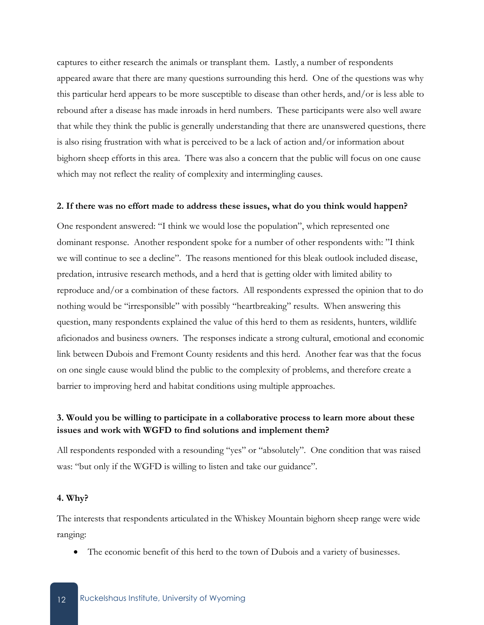captures to either research the animals or transplant them. Lastly, a number of respondents appeared aware that there are many questions surrounding this herd. One of the questions was why this particular herd appears to be more susceptible to disease than other herds, and/or is less able to rebound after a disease has made inroads in herd numbers. These participants were also well aware that while they think the public is generally understanding that there are unanswered questions, there is also rising frustration with what is perceived to be a lack of action and/or information about bighorn sheep efforts in this area. There was also a concern that the public will focus on one cause which may not reflect the reality of complexity and intermingling causes.

#### **2. If there was no effort made to address these issues, what do you think would happen?**

One respondent answered: "I think we would lose the population", which represented one dominant response. Another respondent spoke for a number of other respondents with: "I think we will continue to see a decline". The reasons mentioned for this bleak outlook included disease, predation, intrusive research methods, and a herd that is getting older with limited ability to reproduce and/or a combination of these factors. All respondents expressed the opinion that to do nothing would be "irresponsible" with possibly "heartbreaking" results. When answering this question, many respondents explained the value of this herd to them as residents, hunters, wildlife aficionados and business owners. The responses indicate a strong cultural, emotional and economic link between Dubois and Fremont County residents and this herd. Another fear was that the focus on one single cause would blind the public to the complexity of problems, and therefore create a barrier to improving herd and habitat conditions using multiple approaches.

## **3. Would you be willing to participate in a collaborative process to learn more about these issues and work with WGFD to find solutions and implement them?**

All respondents responded with a resounding "yes" or "absolutely". One condition that was raised was: "but only if the WGFD is willing to listen and take our guidance".

#### **4. Why?**

The interests that respondents articulated in the Whiskey Mountain bighorn sheep range were wide ranging:

• The economic benefit of this herd to the town of Dubois and a variety of businesses.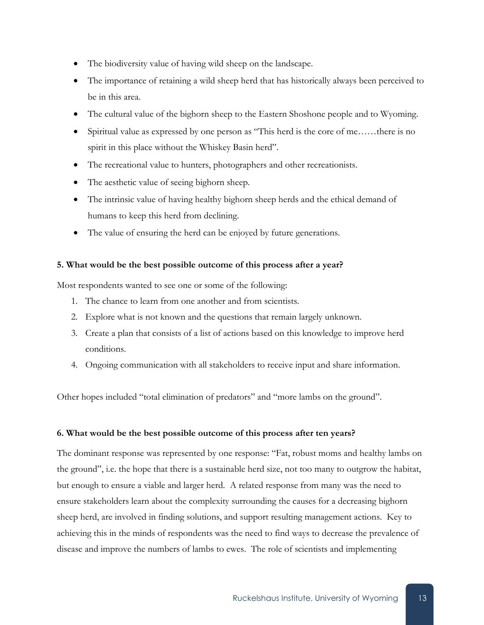- The biodiversity value of having wild sheep on the landscape.
- The importance of retaining a wild sheep herd that has historically always been perceived to be in this area.
- The cultural value of the bighorn sheep to the Eastern Shoshone people and to Wyoming.
- Spiritual value as expressed by one person as "This herd is the core of me......there is no spirit in this place without the Whiskey Basin herd".
- The recreational value to hunters, photographers and other recreationists.
- The aesthetic value of seeing bighorn sheep.
- The intrinsic value of having healthy bighorn sheep herds and the ethical demand of humans to keep this herd from declining.
- The value of ensuring the herd can be enjoyed by future generations.

#### **5. What would be the best possible outcome of this process after a year?**

Most respondents wanted to see one or some of the following:

- 1. The chance to learn from one another and from scientists.
- 2. Explore what is not known and the questions that remain largely unknown.
- 3. Create a plan that consists of a list of actions based on this knowledge to improve herd conditions.
- 4. Ongoing communication with all stakeholders to receive input and share information.

Other hopes included "total elimination of predators" and "more lambs on the ground".

#### **6. What would be the best possible outcome of this process after ten years?**

The dominant response was represented by one response: "Fat, robust moms and healthy lambs on the ground", i.e. the hope that there is a sustainable herd size, not too many to outgrow the habitat, but enough to ensure a viable and larger herd. A related response from many was the need to ensure stakeholders learn about the complexity surrounding the causes for a decreasing bighorn sheep herd, are involved in finding solutions, and support resulting management actions. Key to achieving this in the minds of respondents was the need to find ways to decrease the prevalence of disease and improve the numbers of lambs to ewes. The role of scientists and implementing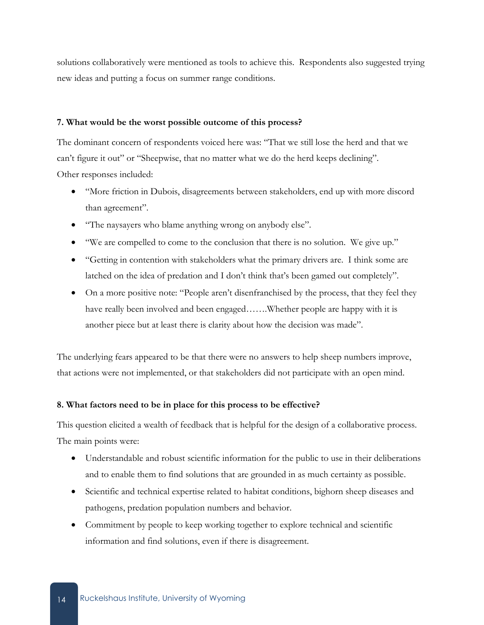solutions collaboratively were mentioned as tools to achieve this. Respondents also suggested trying new ideas and putting a focus on summer range conditions.

#### **7. What would be the worst possible outcome of this process?**

The dominant concern of respondents voiced here was: "That we still lose the herd and that we can't figure it out" or "Sheepwise, that no matter what we do the herd keeps declining". Other responses included:

- "More friction in Dubois, disagreements between stakeholders, end up with more discord than agreement".
- "The naysayers who blame anything wrong on anybody else".
- "We are compelled to come to the conclusion that there is no solution. We give up."
- "Getting in contention with stakeholders what the primary drivers are. I think some are latched on the idea of predation and I don't think that's been gamed out completely".
- On a more positive note: "People aren't disenfranchised by the process, that they feel they have really been involved and been engaged…….Whether people are happy with it is another piece but at least there is clarity about how the decision was made".

The underlying fears appeared to be that there were no answers to help sheep numbers improve, that actions were not implemented, or that stakeholders did not participate with an open mind.

#### **8. What factors need to be in place for this process to be effective?**

This question elicited a wealth of feedback that is helpful for the design of a collaborative process. The main points were:

- Understandable and robust scientific information for the public to use in their deliberations and to enable them to find solutions that are grounded in as much certainty as possible.
- Scientific and technical expertise related to habitat conditions, bighorn sheep diseases and pathogens, predation population numbers and behavior.
- Commitment by people to keep working together to explore technical and scientific information and find solutions, even if there is disagreement.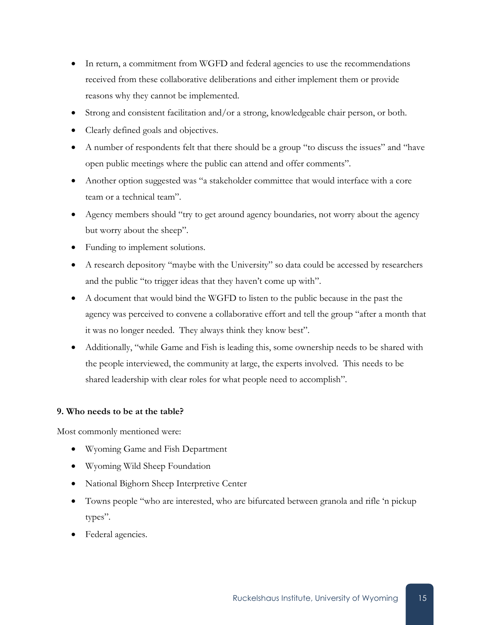- In return, a commitment from WGFD and federal agencies to use the recommendations received from these collaborative deliberations and either implement them or provide reasons why they cannot be implemented.
- Strong and consistent facilitation and/or a strong, knowledgeable chair person, or both.
- Clearly defined goals and objectives.
- A number of respondents felt that there should be a group "to discuss the issues" and "have open public meetings where the public can attend and offer comments".
- Another option suggested was "a stakeholder committee that would interface with a core team or a technical team".
- Agency members should "try to get around agency boundaries, not worry about the agency but worry about the sheep".
- Funding to implement solutions.
- A research depository "maybe with the University" so data could be accessed by researchers and the public "to trigger ideas that they haven't come up with".
- A document that would bind the WGFD to listen to the public because in the past the agency was perceived to convene a collaborative effort and tell the group "after a month that it was no longer needed. They always think they know best".
- Additionally, "while Game and Fish is leading this, some ownership needs to be shared with the people interviewed, the community at large, the experts involved. This needs to be shared leadership with clear roles for what people need to accomplish".

## **9. Who needs to be at the table?**

Most commonly mentioned were:

- Wyoming Game and Fish Department
- Wyoming Wild Sheep Foundation
- National Bighorn Sheep Interpretive Center
- Towns people "who are interested, who are bifurcated between granola and rifle 'n pickup types".
- Federal agencies.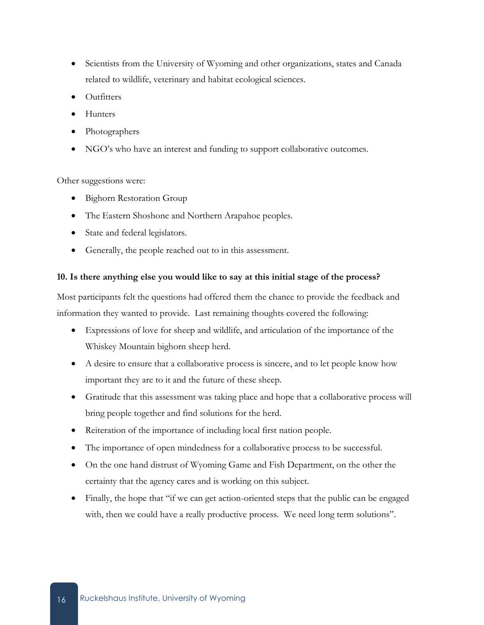- Scientists from the University of Wyoming and other organizations, states and Canada related to wildlife, veterinary and habitat ecological sciences.
- Outfitters
- Hunters
- Photographers
- NGO's who have an interest and funding to support collaborative outcomes.

Other suggestions were:

- Bighorn Restoration Group
- The Eastern Shoshone and Northern Arapahoe peoples.
- State and federal legislators.
- Generally, the people reached out to in this assessment.

### **10. Is there anything else you would like to say at this initial stage of the process?**

Most participants felt the questions had offered them the chance to provide the feedback and information they wanted to provide. Last remaining thoughts covered the following:

- Expressions of love for sheep and wildlife, and articulation of the importance of the Whiskey Mountain bighorn sheep herd.
- A desire to ensure that a collaborative process is sincere, and to let people know how important they are to it and the future of these sheep.
- Gratitude that this assessment was taking place and hope that a collaborative process will bring people together and find solutions for the herd.
- Reiteration of the importance of including local first nation people.
- The importance of open mindedness for a collaborative process to be successful.
- On the one hand distrust of Wyoming Game and Fish Department, on the other the certainty that the agency cares and is working on this subject.
- <span id="page-15-0"></span>• Finally, the hope that "if we can get action-oriented steps that the public can be engaged with, then we could have a really productive process. We need long term solutions".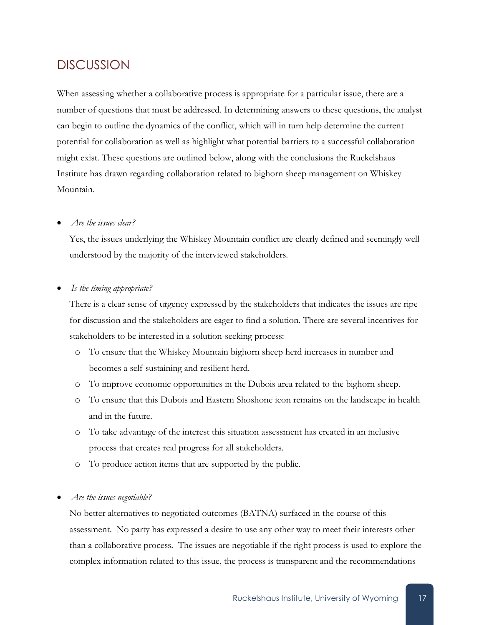## **DISCUSSION**

When assessing whether a collaborative process is appropriate for a particular issue, there are a number of questions that must be addressed. In determining answers to these questions, the analyst can begin to outline the dynamics of the conflict, which will in turn help determine the current potential for collaboration as well as highlight what potential barriers to a successful collaboration might exist. These questions are outlined below, along with the conclusions the Ruckelshaus Institute has drawn regarding collaboration related to bighorn sheep management on Whiskey Mountain.

### • *Are the issues clear?*

Yes, the issues underlying the Whiskey Mountain conflict are clearly defined and seemingly well understood by the majority of the interviewed stakeholders.

#### • *Is the timing appropriate?*

There is a clear sense of urgency expressed by the stakeholders that indicates the issues are ripe for discussion and the stakeholders are eager to find a solution. There are several incentives for stakeholders to be interested in a solution-seeking process:

- o To ensure that the Whiskey Mountain bighorn sheep herd increases in number and becomes a self-sustaining and resilient herd.
- o To improve economic opportunities in the Dubois area related to the bighorn sheep.
- o To ensure that this Dubois and Eastern Shoshone icon remains on the landscape in health and in the future.
- o To take advantage of the interest this situation assessment has created in an inclusive process that creates real progress for all stakeholders.
- o To produce action items that are supported by the public.

#### • *Are the issues negotiable?*

No better alternatives to negotiated outcomes (BATNA) surfaced in the course of this assessment. No party has expressed a desire to use any other way to meet their interests other than a collaborative process. The issues are negotiable if the right process is used to explore the complex information related to this issue, the process is transparent and the recommendations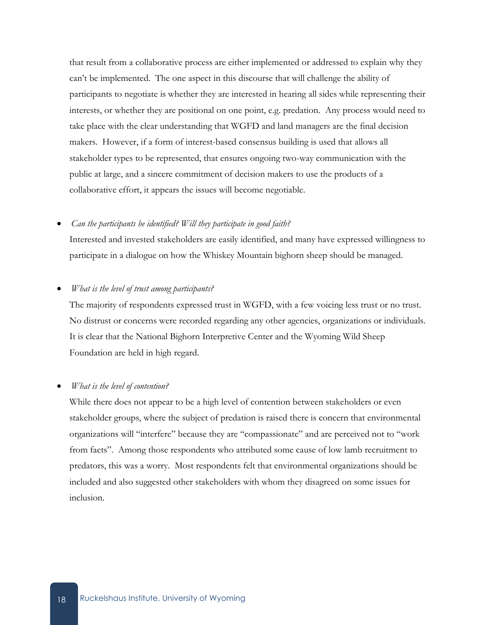that result from a collaborative process are either implemented or addressed to explain why they can't be implemented. The one aspect in this discourse that will challenge the ability of participants to negotiate is whether they are interested in hearing all sides while representing their interests, or whether they are positional on one point, e.g. predation. Any process would need to take place with the clear understanding that WGFD and land managers are the final decision makers. However, if a form of interest-based consensus building is used that allows all stakeholder types to be represented, that ensures ongoing two-way communication with the public at large, and a sincere commitment of decision makers to use the products of a collaborative effort, it appears the issues will become negotiable.

#### • *Can the participants be identified? Will they participate in good faith?*

Interested and invested stakeholders are easily identified, and many have expressed willingness to participate in a dialogue on how the Whiskey Mountain bighorn sheep should be managed.

#### • *What is the level of trust among participants?*

The majority of respondents expressed trust in WGFD, with a few voicing less trust or no trust. No distrust or concerns were recorded regarding any other agencies, organizations or individuals. It is clear that the National Bighorn Interpretive Center and the Wyoming Wild Sheep Foundation are held in high regard.

#### • *What is the level of contention?*

While there does not appear to be a high level of contention between stakeholders or even stakeholder groups, where the subject of predation is raised there is concern that environmental organizations will "interfere" because they are "compassionate" and are perceived not to "work from facts". Among those respondents who attributed some cause of low lamb recruitment to predators, this was a worry. Most respondents felt that environmental organizations should be included and also suggested other stakeholders with whom they disagreed on some issues for inclusion.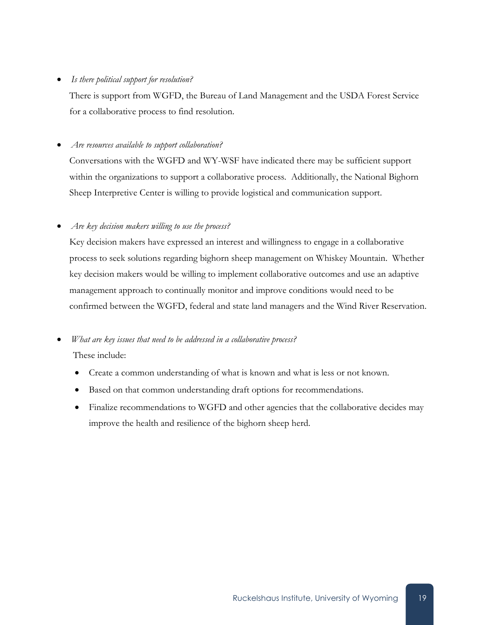## • *Is there political support for resolution?*

There is support from WGFD, the Bureau of Land Management and the USDA Forest Service for a collaborative process to find resolution.

## • *Are resources available to support collaboration?*

Conversations with the WGFD and WY-WSF have indicated there may be sufficient support within the organizations to support a collaborative process. Additionally, the National Bighorn Sheep Interpretive Center is willing to provide logistical and communication support.

## • *Are key decision makers willing to use the process?*

Key decision makers have expressed an interest and willingness to engage in a collaborative process to seek solutions regarding bighorn sheep management on Whiskey Mountain. Whether key decision makers would be willing to implement collaborative outcomes and use an adaptive management approach to continually monitor and improve conditions would need to be confirmed between the WGFD, federal and state land managers and the Wind River Reservation.

# • *What are key issues that need to be addressed in a collaborative process?*

These include:

- Create a common understanding of what is known and what is less or not known.
- Based on that common understanding draft options for recommendations.
- <span id="page-18-0"></span>• Finalize recommendations to WGFD and other agencies that the collaborative decides may improve the health and resilience of the bighorn sheep herd.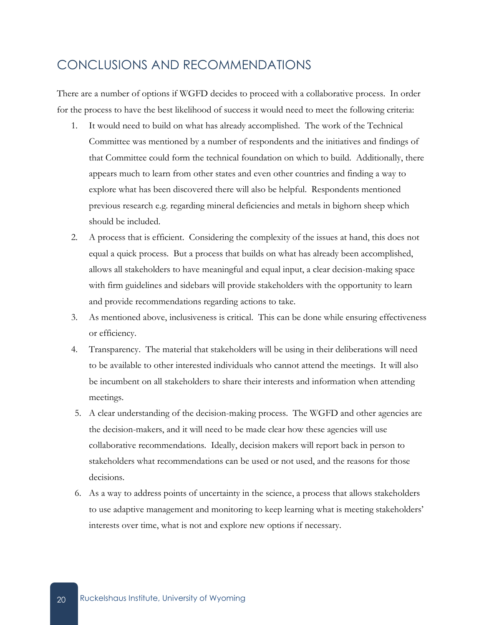## CONCLUSIONS AND RECOMMENDATIONS

There are a number of options if WGFD decides to proceed with a collaborative process. In order for the process to have the best likelihood of success it would need to meet the following criteria:

- 1. It would need to build on what has already accomplished. The work of the Technical Committee was mentioned by a number of respondents and the initiatives and findings of that Committee could form the technical foundation on which to build. Additionally, there appears much to learn from other states and even other countries and finding a way to explore what has been discovered there will also be helpful. Respondents mentioned previous research e.g. regarding mineral deficiencies and metals in bighorn sheep which should be included.
- 2. A process that is efficient. Considering the complexity of the issues at hand, this does not equal a quick process. But a process that builds on what has already been accomplished, allows all stakeholders to have meaningful and equal input, a clear decision-making space with firm guidelines and sidebars will provide stakeholders with the opportunity to learn and provide recommendations regarding actions to take.
- 3. As mentioned above, inclusiveness is critical. This can be done while ensuring effectiveness or efficiency.
- 4. Transparency. The material that stakeholders will be using in their deliberations will need to be available to other interested individuals who cannot attend the meetings. It will also be incumbent on all stakeholders to share their interests and information when attending meetings.
- 5. A clear understanding of the decision-making process. The WGFD and other agencies are the decision-makers, and it will need to be made clear how these agencies will use collaborative recommendations. Ideally, decision makers will report back in person to stakeholders what recommendations can be used or not used, and the reasons for those decisions.
- <span id="page-19-0"></span>6. As a way to address points of uncertainty in the science, a process that allows stakeholders to use adaptive management and monitoring to keep learning what is meeting stakeholders' interests over time, what is not and explore new options if necessary.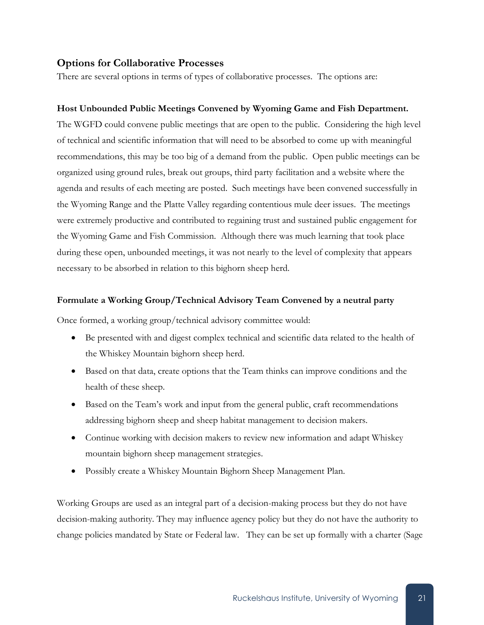## **Options for Collaborative Processes**

There are several options in terms of types of collaborative processes. The options are:

#### **Host Unbounded Public Meetings Convened by Wyoming Game and Fish Department.**

The WGFD could convene public meetings that are open to the public. Considering the high level of technical and scientific information that will need to be absorbed to come up with meaningful recommendations, this may be too big of a demand from the public. Open public meetings can be organized using ground rules, break out groups, third party facilitation and a website where the agenda and results of each meeting are posted. Such meetings have been convened successfully in the Wyoming Range and the Platte Valley regarding contentious mule deer issues. The meetings were extremely productive and contributed to regaining trust and sustained public engagement for the Wyoming Game and Fish Commission. Although there was much learning that took place during these open, unbounded meetings, it was not nearly to the level of complexity that appears necessary to be absorbed in relation to this bighorn sheep herd.

#### **Formulate a Working Group/Technical Advisory Team Convened by a neutral party**

Once formed, a working group/technical advisory committee would:

- Be presented with and digest complex technical and scientific data related to the health of the Whiskey Mountain bighorn sheep herd.
- Based on that data, create options that the Team thinks can improve conditions and the health of these sheep.
- Based on the Team's work and input from the general public, craft recommendations addressing bighorn sheep and sheep habitat management to decision makers.
- Continue working with decision makers to review new information and adapt Whiskey mountain bighorn sheep management strategies.
- Possibly create a Whiskey Mountain Bighorn Sheep Management Plan.

Working Groups are used as an integral part of a decision-making process but they do not have decision-making authority. They may influence agency policy but they do not have the authority to change policies mandated by State or Federal law. They can be set up formally with a charter (Sage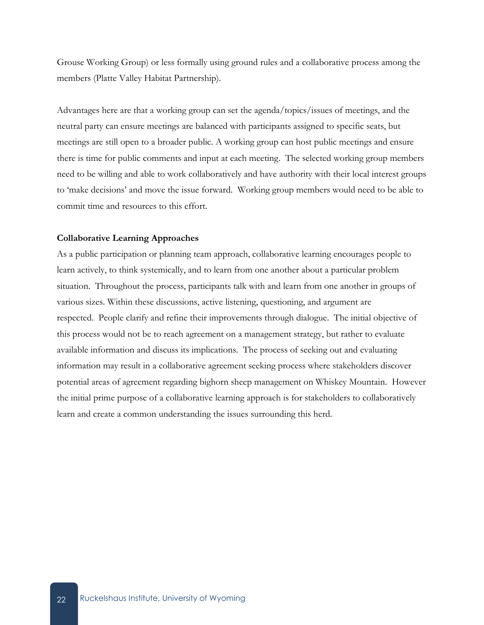Grouse Working Group) or less formally using ground rules and a collaborative process among the members (Platte Valley Habitat Partnership).

Advantages here are that a working group can set the agenda/topics/issues of meetings, and the neutral party can ensure meetings are balanced with participants assigned to specific seats, but meetings are still open to a broader public. A working group can host public meetings and ensure there is time for public comments and input at each meeting. The selected working group members need to be willing and able to work collaboratively and have authority with their local interest groups to 'make decisions' and move the issue forward. Working group members would need to be able to commit time and resources to this effort.

#### **Collaborative Learning Approaches**

<span id="page-21-0"></span>As a public participation or planning team approach, collaborative learning encourages people to learn actively, to think systemically, and to learn from one another about a particular problem situation. Throughout the process, participants talk with and learn from one another in groups of various sizes. Within these discussions, active listening, questioning, and argument are respected. People clarify and refine their improvements through dialogue. The initial objective of this process would not be to reach agreement on a management strategy, but rather to evaluate available information and discuss its implications. The process of seeking out and evaluating information may result in a collaborative agreement seeking process where stakeholders discover potential areas of agreement regarding bighorn sheep management on Whiskey Mountain. However the initial prime purpose of a collaborative learning approach is for stakeholders to collaboratively learn and create a common understanding the issues surrounding this herd.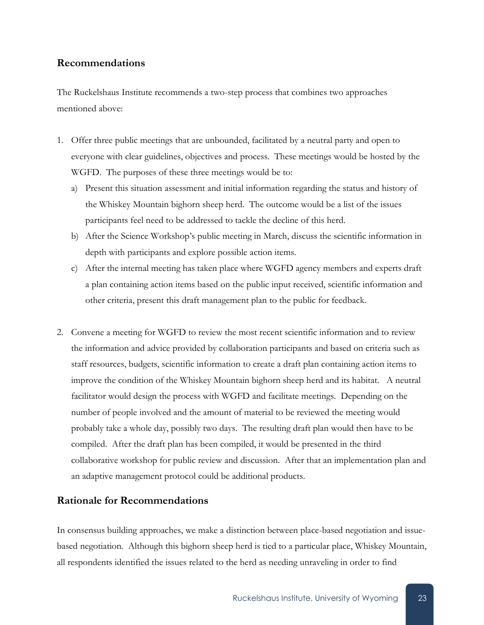## **Recommendations**

The Ruckelshaus Institute recommends a two-step process that combines two approaches mentioned above:

- 1. Offer three public meetings that are unbounded, facilitated by a neutral party and open to everyone with clear guidelines, objectives and process. These meetings would be hosted by the WGFD. The purposes of these three meetings would be to:
	- a) Present this situation assessment and initial information regarding the status and history of the Whiskey Mountain bighorn sheep herd. The outcome would be a list of the issues participants feel need to be addressed to tackle the decline of this herd.
	- b) After the Science Workshop's public meeting in March, discuss the scientific information in depth with participants and explore possible action items.
	- c) After the internal meeting has taken place where WGFD agency members and experts draft a plan containing action items based on the public input received, scientific information and other criteria, present this draft management plan to the public for feedback.
- 2. Convene a meeting for WGFD to review the most recent scientific information and to review the information and advice provided by collaboration participants and based on criteria such as staff resources, budgets, scientific information to create a draft plan containing action items to improve the condition of the Whiskey Mountain bighorn sheep herd and its habitat. A neutral facilitator would design the process with WGFD and facilitate meetings. Depending on the number of people involved and the amount of material to be reviewed the meeting would probably take a whole day, possibly two days. The resulting draft plan would then have to be compiled. After the draft plan has been compiled, it would be presented in the third collaborative workshop for public review and discussion. After that an implementation plan and an adaptive management protocol could be additional products.

## <span id="page-22-0"></span>**Rationale for Recommendations**

In consensus building approaches, we make a distinction between place-based negotiation and issuebased negotiation. Although this bighorn sheep herd is tied to a particular place, Whiskey Mountain, all respondents identified the issues related to the herd as needing unraveling in order to find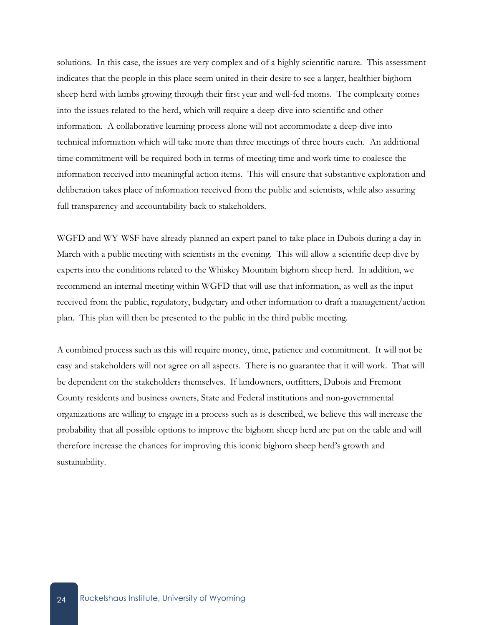solutions. In this case, the issues are very complex and of a highly scientific nature. This assessment indicates that the people in this place seem united in their desire to see a larger, healthier bighorn sheep herd with lambs growing through their first year and well-fed moms. The complexity comes into the issues related to the herd, which will require a deep-dive into scientific and other information. A collaborative learning process alone will not accommodate a deep-dive into technical information which will take more than three meetings of three hours each. An additional time commitment will be required both in terms of meeting time and work time to coalesce the information received into meaningful action items. This will ensure that substantive exploration and deliberation takes place of information received from the public and scientists, while also assuring full transparency and accountability back to stakeholders.

WGFD and WY-WSF have already planned an expert panel to take place in Dubois during a day in March with a public meeting with scientists in the evening. This will allow a scientific deep dive by experts into the conditions related to the Whiskey Mountain bighorn sheep herd. In addition, we recommend an internal meeting within WGFD that will use that information, as well as the input received from the public, regulatory, budgetary and other information to draft a management/action plan. This plan will then be presented to the public in the third public meeting.

A combined process such as this will require money, time, patience and commitment. It will not be easy and stakeholders will not agree on all aspects. There is no guarantee that it will work. That will be dependent on the stakeholders themselves. If landowners, outfitters, Dubois and Fremont County residents and business owners, State and Federal institutions and non-governmental organizations are willing to engage in a process such as is described, we believe this will increase the probability that all possible options to improve the bighorn sheep herd are put on the table and will therefore increase the chances for improving this iconic bighorn sheep herd's growth and sustainability.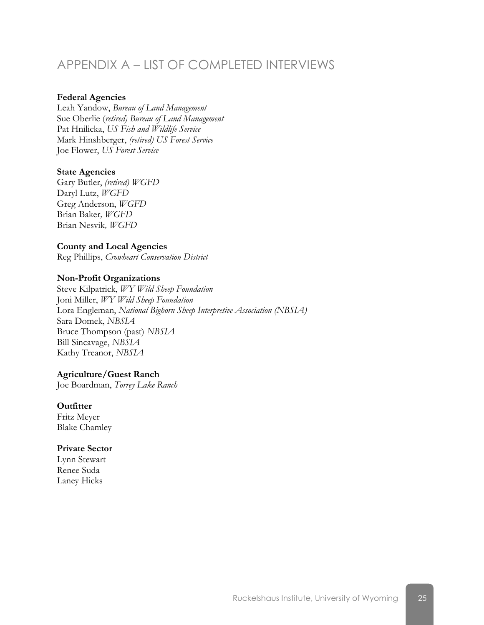## <span id="page-24-0"></span>APPENDIX A – LIST OF COMPLETED INTERVIEWS

### **Federal Agencies**

Leah Yandow, *Bureau of Land Management* Sue Oberlie (*retired) Bureau of Land Management* Pat Hnilicka, *US Fish and Wildlife Service* Mark Hinshberger, *(retired) US Forest Service* Joe Flower, *US Forest Service*

#### **State Agencies**

Gary Butler, *(retired) WGFD* Daryl Lutz, *WGFD* Greg Anderson, *WGFD* Brian Baker*, WGFD* Brian Nesvik*, WGFD*

### **County and Local Agencies**

Reg Phillips, *Crowheart Conservation District*

## **Non-Profit Organizations**

Steve Kilpatrick, *WY Wild Sheep Foundation* Joni Miller, *WY Wild Sheep Foundation* Lora Engleman, *National Bighorn Sheep Interpretive Association (NBSIA)* Sara Domek, *NBSIA* Bruce Thompson (past) *NBSIA* Bill Sincavage, *NBSIA* Kathy Treanor, *NBSIA*

## **Agriculture/Guest Ranch**

Joe Boardman, *Torrey Lake Ranch*

#### **Outfitter**

Fritz Meyer Blake Chamley

#### **Private Sector**

Lynn Stewart Renee Suda Laney Hicks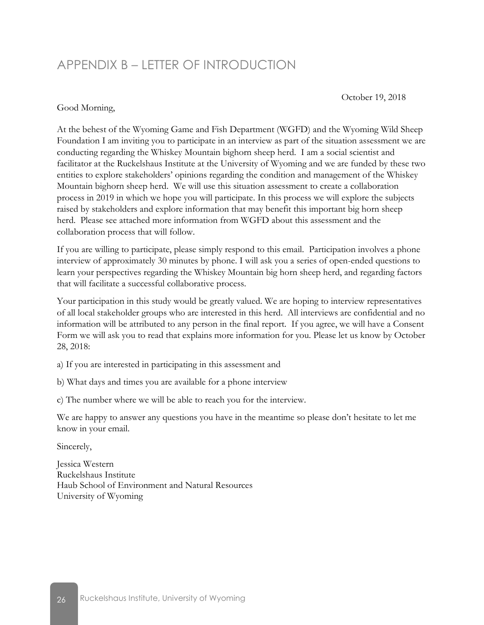## <span id="page-25-0"></span>APPENDIX B – LETTER OF INTRODUCTION

October 19, 2018

### Good Morning,

At the behest of the Wyoming Game and Fish Department (WGFD) and the Wyoming Wild Sheep Foundation I am inviting you to participate in an interview as part of the situation assessment we are conducting regarding the Whiskey Mountain bighorn sheep herd. I am a social scientist and facilitator at the Ruckelshaus Institute at the University of Wyoming and we are funded by these two entities to explore stakeholders' opinions regarding the condition and management of the Whiskey Mountain bighorn sheep herd. We will use this situation assessment to create a collaboration process in 2019 in which we hope you will participate. In this process we will explore the subjects raised by stakeholders and explore information that may benefit this important big horn sheep herd. Please see attached more information from WGFD about this assessment and the collaboration process that will follow.

If you are willing to participate, please simply respond to this email. Participation involves a phone interview of approximately 30 minutes by phone. I will ask you a series of open-ended questions to learn your perspectives regarding the Whiskey Mountain big horn sheep herd, and regarding factors that will facilitate a successful collaborative process.

Your participation in this study would be greatly valued. We are hoping to interview representatives of all local stakeholder groups who are interested in this herd. All interviews are confidential and no information will be attributed to any person in the final report. If you agree, we will have a Consent Form we will ask you to read that explains more information for you. Please let us know by October 28, 2018:

a) If you are interested in participating in this assessment and

b) What days and times you are available for a phone interview

c) The number where we will be able to reach you for the interview.

We are happy to answer any questions you have in the meantime so please don't hesitate to let me know in your email.

Sincerely,

Jessica Western Ruckelshaus Institute Haub School of Environment and Natural Resources University of Wyoming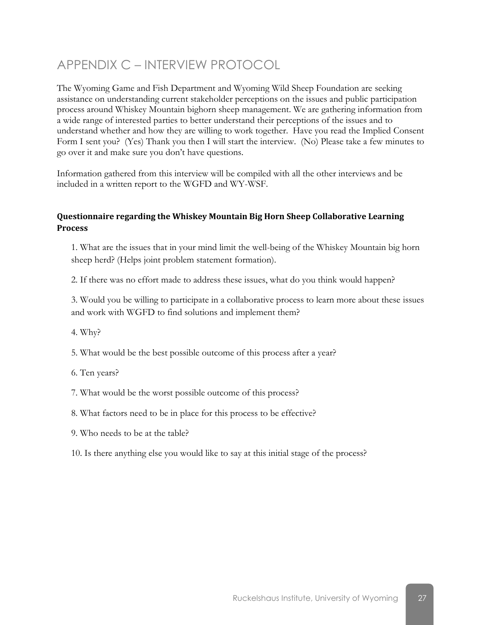## <span id="page-26-0"></span>APPENDIX C – INTERVIEW PROTOCOL

The Wyoming Game and Fish Department and Wyoming Wild Sheep Foundation are seeking assistance on understanding current stakeholder perceptions on the issues and public participation process around Whiskey Mountain bighorn sheep management. We are gathering information from a wide range of interested parties to better understand their perceptions of the issues and to understand whether and how they are willing to work together. Have you read the Implied Consent Form I sent you? (Yes) Thank you then I will start the interview. (No) Please take a few minutes to go over it and make sure you don't have questions.

Information gathered from this interview will be compiled with all the other interviews and be included in a written report to the WGFD and WY-WSF.

## **Questionnaire regarding the Whiskey Mountain Big Horn Sheep Collaborative Learning Process**

1. What are the issues that in your mind limit the well-being of the Whiskey Mountain big horn sheep herd? (Helps joint problem statement formation).

2. If there was no effort made to address these issues, what do you think would happen?

3. Would you be willing to participate in a collaborative process to learn more about these issues and work with WGFD to find solutions and implement them?

4. Why?

- 5. What would be the best possible outcome of this process after a year?
- 6. Ten years?
- 7. What would be the worst possible outcome of this process?
- 8. What factors need to be in place for this process to be effective?
- 9. Who needs to be at the table?
- 10. Is there anything else you would like to say at this initial stage of the process?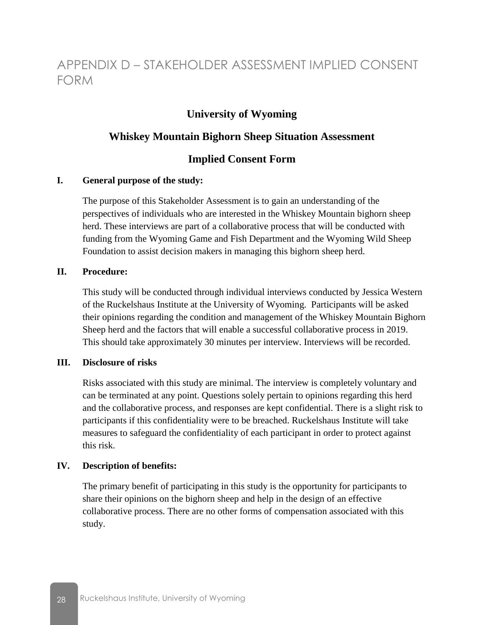## <span id="page-27-0"></span>APPENDIX D – STAKEHOLDER ASSESSMENT IMPLIED CONSENT FORM

## **University of Wyoming**

## **Whiskey Mountain Bighorn Sheep Situation Assessment**

## **Implied Consent Form**

## **I. General purpose of the study:**

The purpose of this Stakeholder Assessment is to gain an understanding of the perspectives of individuals who are interested in the Whiskey Mountain bighorn sheep herd. These interviews are part of a collaborative process that will be conducted with funding from the Wyoming Game and Fish Department and the Wyoming Wild Sheep Foundation to assist decision makers in managing this bighorn sheep herd.

## **II. Procedure:**

This study will be conducted through individual interviews conducted by Jessica Western of the Ruckelshaus Institute at the University of Wyoming. Participants will be asked their opinions regarding the condition and management of the Whiskey Mountain Bighorn Sheep herd and the factors that will enable a successful collaborative process in 2019. This should take approximately 30 minutes per interview. Interviews will be recorded.

## **III. Disclosure of risks**

Risks associated with this study are minimal. The interview is completely voluntary and can be terminated at any point. Questions solely pertain to opinions regarding this herd and the collaborative process, and responses are kept confidential. There is a slight risk to participants if this confidentiality were to be breached. Ruckelshaus Institute will take measures to safeguard the confidentiality of each participant in order to protect against this risk.

## **IV. Description of benefits:**

The primary benefit of participating in this study is the opportunity for participants to share their opinions on the bighorn sheep and help in the design of an effective collaborative process. There are no other forms of compensation associated with this study.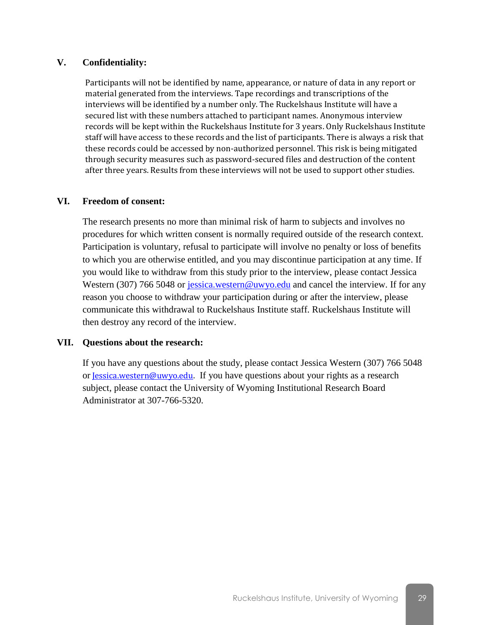## **V. Confidentiality:**

Participants will not be identified by name, appearance, or nature of data in any report or material generated from the interviews. Tape recordings and transcriptions of the interviews will be identified by a number only. The Ruckelshaus Institute will have a secured list with these numbers attached to participant names. Anonymous interview records will be kept within the Ruckelshaus Institute for 3 years. Only Ruckelshaus Institute staff will have access to these records and the list of participants. There is always a risk that these records could be accessed by non-authorized personnel. This risk is being mitigated through security measures such as password-secured files and destruction of the content after three years. Results from these interviews will not be used to support other studies.

## **VI. Freedom of consent:**

The research presents no more than minimal risk of harm to subjects and involves no procedures for which written consent is normally required outside of the research context. Participation is voluntary, refusal to participate will involve no penalty or loss of benefits to which you are otherwise entitled, and you may discontinue participation at any time. If you would like to withdraw from this study prior to the interview, please contact Jessica Western (307) 766 5048 or [jessica.western@uwyo.edu](mailto:jessica.western@uwyo.edu) and cancel the interview. If for any reason you choose to withdraw your participation during or after the interview, please communicate this withdrawal to Ruckelshaus Institute staff. Ruckelshaus Institute will then destroy any record of the interview.

## **VII. Questions about the research:**

If you have any questions about the study, please contact Jessica Western (307) 766 5048 or <u>Jessica.western@uwyo.edu</u>. If you have questions about your rights as a research subject, please contact the University of Wyoming Institutional Research Board Administrator at 307-766-5320.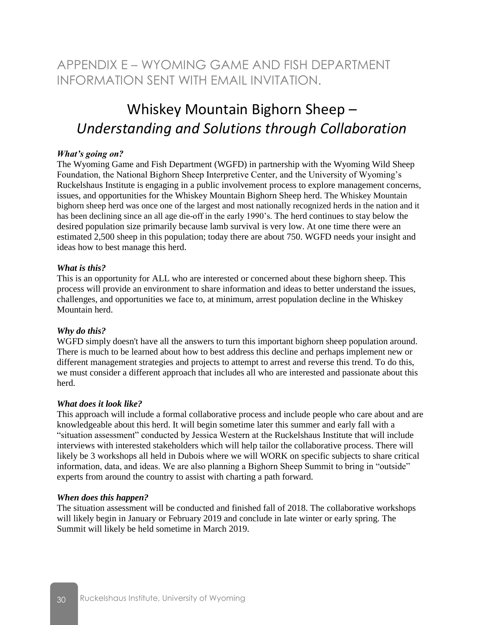## <span id="page-29-0"></span>APPENDIX E – WYOMING GAME AND FISH DEPARTMENT INFORMATION SENT WITH EMAIL INVITATION.

# Whiskey Mountain Bighorn Sheep – *Understanding and Solutions through Collaboration*

### *What's going on?*

The Wyoming Game and Fish Department (WGFD) in partnership with the Wyoming Wild Sheep Foundation, the National Bighorn Sheep Interpretive Center, and the University of Wyoming's Ruckelshaus Institute is engaging in a public involvement process to explore management concerns, issues, and opportunities for the Whiskey Mountain Bighorn Sheep herd. The Whiskey Mountain bighorn sheep herd was once one of the largest and most nationally recognized herds in the nation and it has been declining since an all age die-off in the early 1990's. The herd continues to stay below the desired population size primarily because lamb survival is very low. At one time there were an estimated 2,500 sheep in this population; today there are about 750. WGFD needs your insight and ideas how to best manage this herd.

### *What is this?*

This is an opportunity for ALL who are interested or concerned about these bighorn sheep. This process will provide an environment to share information and ideas to better understand the issues, challenges, and opportunities we face to, at minimum, arrest population decline in the Whiskey Mountain herd.

#### *Why do this?*

WGFD simply doesn't have all the answers to turn this important bighorn sheep population around. There is much to be learned about how to best address this decline and perhaps implement new or different management strategies and projects to attempt to arrest and reverse this trend. To do this, we must consider a different approach that includes all who are interested and passionate about this herd.

## *What does it look like?*

This approach will include a formal collaborative process and include people who care about and are knowledgeable about this herd. It will begin sometime later this summer and early fall with a "situation assessment" conducted by Jessica Western at the Ruckelshaus Institute that will include interviews with interested stakeholders which will help tailor the collaborative process. There will likely be 3 workshops all held in Dubois where we will WORK on specific subjects to share critical information, data, and ideas. We are also planning a Bighorn Sheep Summit to bring in "outside" experts from around the country to assist with charting a path forward.

#### *When does this happen?*

The situation assessment will be conducted and finished fall of 2018. The collaborative workshops will likely begin in January or February 2019 and conclude in late winter or early spring. The Summit will likely be held sometime in March 2019.